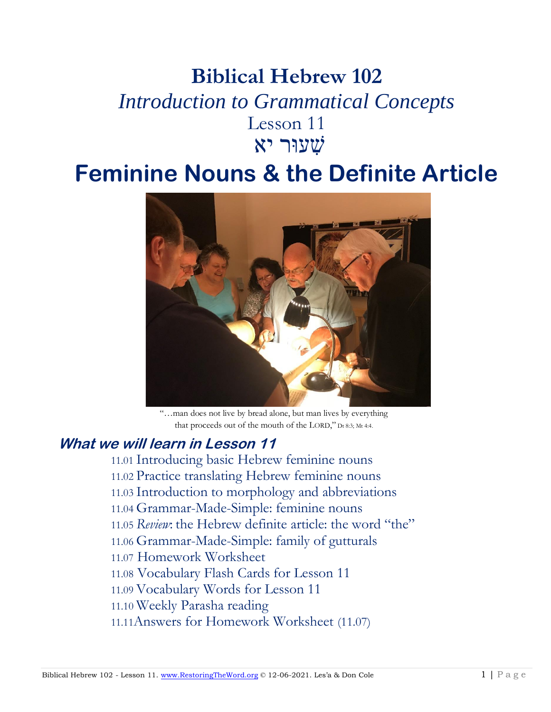# **Biblical Hebrew 102** *Introduction to Grammatical Concepts* Lesson 11 שׁ ִעוּר יא

# **Feminine Nouns & the Definite Article**



"…man does not live by bread alone, but man lives by everything that proceeds out of the mouth of the LORD," Dt 8:3; Mt 4:4.

# **What we will learn in Lesson 11**

11.01 Introducing basic Hebrew feminine nouns 11.02 Practice translating Hebrew feminine nouns 11.03 Introduction to morphology and abbreviations 11.04 Grammar-Made-Simple: feminine nouns 11.05 *Review*: the Hebrew definite article: the word "the" 11.06 Grammar-Made-Simple: family of gutturals 11.07 Homework Worksheet 11.08 Vocabulary Flash Cards for Lesson 11 11.09 Vocabulary Words for Lesson 11 11.10 Weekly Parasha reading

11.11Answers for Homework Worksheet (11.07)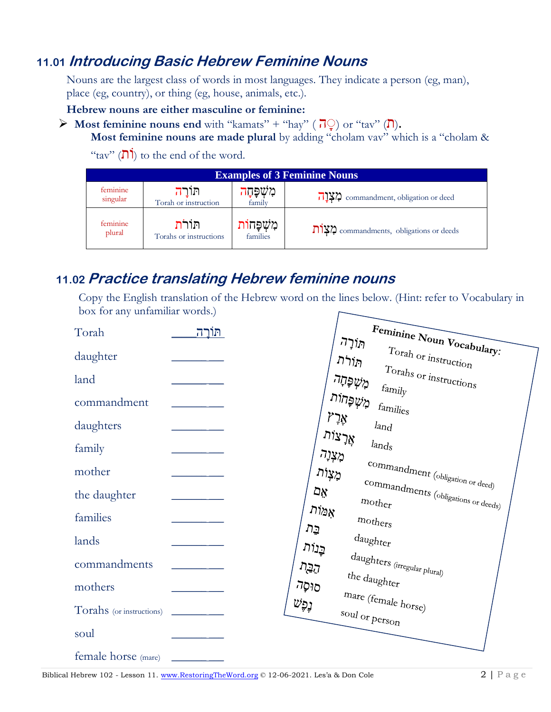# **11.01 Introducing Basic Hebrew Feminine Nouns**

Nouns are the largest class of words in most languages. They indicate a person (eg, man), place (eg, country), or thing (eg, house, animals, etc.).

**Hebrew nouns are either masculine or feminine:** 

 $\triangleright$  **Most feminine nouns end** with "kamats" + "hay" ( $\overline{\overline{P}}$ ) or "tav" ( $\overline{\overline{P}}$ ).

**Most feminine nouns are made plural** by adding "cholam vav" which is a "cholam &

"tav"  $(\overline{\mathsf{\Pi}})$  to the end of the word.

| <b>Examples of 3 Feminine Nouns</b> |                        |              |                                                              |
|-------------------------------------|------------------------|--------------|--------------------------------------------------------------|
| feminine                            | תורה                   | מִשְׁפָּחָה  | $\prod_{i=1}^{n} \mathbf{X}$ commandment, obligation or deed |
| singular                            | Torah or instruction   | family       |                                                              |
| feminine                            | הורת                   | מִשִׁפָּחוֹר | $\sum$ לצן commandments, obligations or deeds                |
| plural                              | Torahs or instructions | families     |                                                              |

# **11.02 Practice translating Hebrew feminine nouns**

Copy the English translation of the Hebrew word on the lines below. (Hint: refer to Vocabulary in box for any unfamiliar words.)

| Torah                    | תּוֹרַה | Feminine Noun Vocabulary:                                                 |
|--------------------------|---------|---------------------------------------------------------------------------|
| daughter                 |         | הוֹרָה<br>$T$ orah or instruction<br>הַוֹרֹת                              |
| land                     |         | $T$ <sub>Orahs</sub> or instructions<br>د <i>ِزن</i> اۋ⊔ر<br>$f a_{mjly}$ |
| commandment              |         | מֶשֶׁפְּחוֹת<br>$f$ amilies                                               |
| daughters                |         | $\gamma$ אָר<br>land<br>אָרְצוֹת                                          |
| family                   |         | $l$ ands<br>מָצְוָה                                                       |
| mother                   |         | commandment (obligation or deed)<br>מָצָוֹת                               |
| the daughter             |         | commandments (obligations or deeds)<br>۵ÿ<br>$\mathit{mother}$            |
| families                 |         | אָמּוֹת<br>$m \text{ of } h \text{ erg}$<br>בֵּה                          |
| lands                    |         | $_{\rm daughter}$<br>בְּנוֹת                                              |
| commandments             |         | $d\mathit{aughters}\xspace_{(irregular \, plural)}$<br>הַבֵּה             |
| mothers                  |         | the daughter<br>סוּסָה                                                    |
| Torahs (or instructions) |         | mare (female horse)<br>נֶפֶּשׁ<br>soul or person                          |
| soul                     |         |                                                                           |
| female horse (mare)      |         |                                                                           |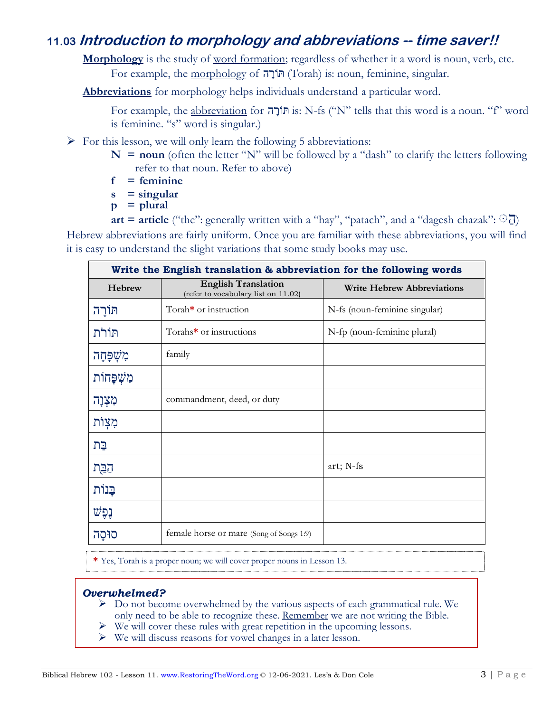# **11.03 Introduction to morphology and abbreviations -- time saver!!**

Morphology is the study of word formation; regardless of whether it a word is noun, verb, etc. For example, the morphology of ה ָורֹתּ) Torah) is: noun, feminine, singular.

**Abbreviations** for morphology helps individuals understand a particular word.

For example, the abbreviation for הוֹרָה is: N-fs ("N" tells that this word is a noun. "f" word is feminine. "s" word is singular.)

- $\triangleright$  For this lesson, we will only learn the following 5 abbreviations:
	- $N =$  **noun** (often the letter "N" will be followed by a "dash" to clarify the letters following refer to that noun. Refer to above)
	- **f = feminine**
	- **s = singular**
	- **p = plural**

**art = article** ("the": generally written with a "hay", "patach", and a "dagesh chazak":  $\Box$ ) Hebrew abbreviations are fairly uniform. Once you are familiar with these abbreviations, you will find it is easy to understand the slight variations that some study books may use.

| Write the English translation & abbreviation for the following words |                                                                   |                                   |  |
|----------------------------------------------------------------------|-------------------------------------------------------------------|-----------------------------------|--|
| Hebrew                                                               | <b>English Translation</b><br>(refer to vocabulary list on 11.02) | <b>Write Hebrew Abbreviations</b> |  |
| תּוֹרַה                                                              | Torah <sup>*</sup> or instruction                                 | N-fs (noun-feminine singular)     |  |
| תוֹרֹת                                                               | Torahs <sup>*</sup> or instructions                               | N-fp (noun-feminine plural)       |  |
| מִשְׁפָּחָה                                                          | family                                                            |                                   |  |
| מִשְׁפָּחוֹת                                                         |                                                                   |                                   |  |
| מִצְוָה                                                              | commandment, deed, or duty                                        |                                   |  |
| מִצְוֹת                                                              |                                                                   |                                   |  |
| בַּת                                                                 |                                                                   |                                   |  |
| הַבַּת                                                               |                                                                   | art; N-fs                         |  |
| בֵּנוֹת                                                              |                                                                   |                                   |  |
| נֶפֶּשׁ                                                              |                                                                   |                                   |  |
| סוּסָה                                                               | female horse or mare (Song of Songs 1:9)                          |                                   |  |

**\*** Yes, Torah is a proper noun; we will cover proper nouns in Lesson 13.

#### *Overwhelmed?*

- $\triangleright$  Do not become overwhelmed by the various aspects of each grammatical rule. We only need to be able to recognize these. Remember we are not writing the Bible.
- ➢ We will cover these rules with great repetition in the upcoming lessons.
- ➢ We will discuss reasons for vowel changes in a later lesson.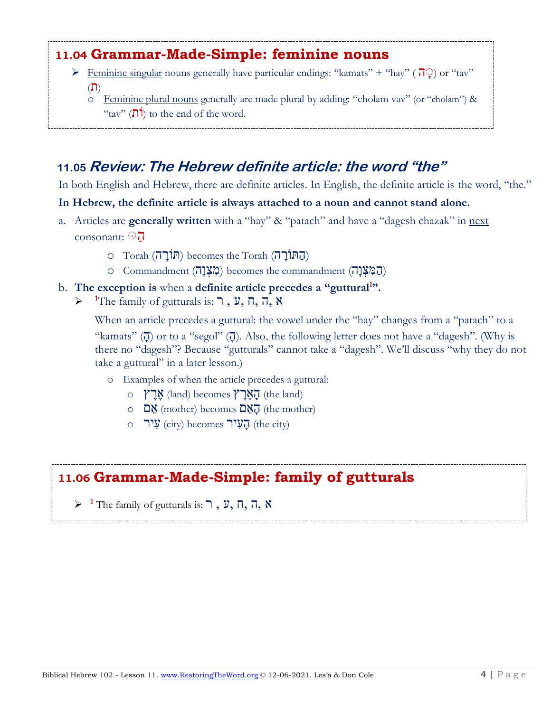# **11.04 Grammar-Made-Simple: feminine nouns**

- $\triangleright$  Feminine singular nouns generally have particular endings: "kamats" + "hay" ( $\overline{0}$ ) or "tav" (תִ)
	- $\circ$  Femining plural nouns generally are made plural by adding: "cholam vav" (or "cholam") & "tav"  $(\overline{\mathsf{N}})$  to the end of the word.

# **11.05 Review: The Hebrew definite article: the word "the"**

In both English and Hebrew, there are definite articles. In English, the definite article is the word, "the."

#### **In Hebrew, the definite article is always attached to a noun and cannot stand alone.**

- a. Articles are **generally written** with a "hay" & "patach" and have a "dagesh chazak" in next consonant:  $\odot$   $\overline{J}$ 
	- (ה ּתוֹ רָ ה) Torah the becomes) ּתוֹרָ ה) Torah o
	- (ה מ צְ וָה) commandment the becomes) מ צְ וָה) Commandment o

#### b. **The exception is** when a **definite article precedes a "guttural<sup>1</sup> ".**

 $\triangleright$  <sup>1</sup>The family of gutturals is: **7**, **y**, **n**, **n**, **x** 

When an article precedes a guttural: the vowel under the "hay" changes from a "patach" to a "kamats" ( $\overline{0}$ ) or to a "segol" ( $\overline{0}$ ). Also, the following letter does not have a "dagesh". (Why is there no "dagesh"? Because "gutturals" cannot take a "dagesh". We'll discuss "why they do not take a guttural" in a later lesson.)

- o Examples of when the article precedes a guttural:
	- $\circ$  אָרֶץ (land) becomes)  $\mathcal{V}$ הָאָרֶ (the land)
	- $\circ$   $\Box$ הָ (mother) becomes  $\Box$ הָ (the mother)
	- $\circ$  הָעֲיֹר (city) becomes)  $\mathbf{Q}$ ע (the city)

# **11.06 Grammar-Made-Simple: family of gutturals**

 $\triangleright$ <sup>1</sup> The family of gutturals is: ר, ע, ה, ה, א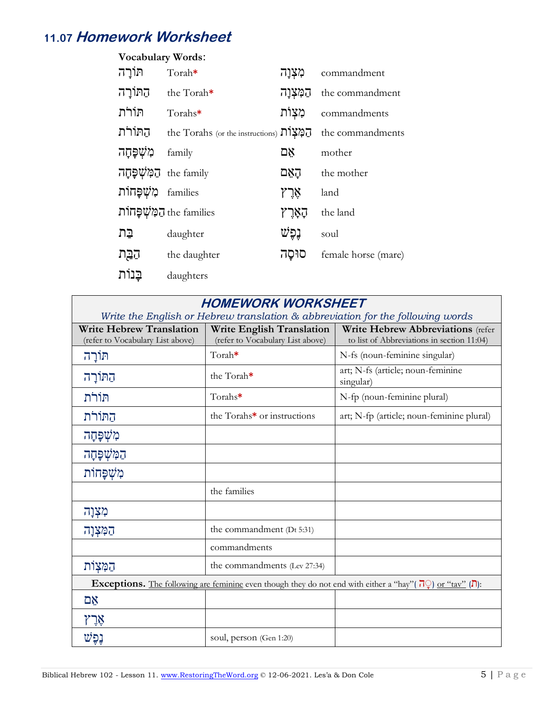# **11.07 Homework Worksheet**

| <b>Vocabulary Words:</b>  |                                           |           |                     |
|---------------------------|-------------------------------------------|-----------|---------------------|
| תּוֹרַה                   | Torah*                                    | מִצְוַה   | commandment         |
| הַתּוֹרָה                 | the Torah*                                | הַמְצְוַה | the commandment     |
| תוֹרֹת                    | Torahs $*$                                | מִצְוֹת   | commandments        |
| החורת                     | the Torahs (or the instructions) הַמְצְחֹ |           | the commandments    |
| מְשָׁפַּחַה               | family                                    | אֵם       | mother              |
| the family הַמְּשָׁפָּחָה |                                           | הַאֲם     | the mother          |
| מִשָׁפַּחוֹת              | families                                  | אָרִץ     | land                |
|                           | המְשָׁפַּחוֹת the families                | קאָרָץ    | the land            |
| בַּת                      | daughter                                  | נִפְשׁ    | soul                |
| הַבָּת                    | the daughter                              | סוּסַה    | female horse (mare) |
| בנות                      | daughters                                 |           |                     |

## **HOMEWORK WORKSHEET**

| Write the English or Hebrew translation $\&$ abbreviation for the following words                                                             |                                                                      |                                                                                 |  |
|-----------------------------------------------------------------------------------------------------------------------------------------------|----------------------------------------------------------------------|---------------------------------------------------------------------------------|--|
| <b>Write Hebrew Translation</b><br>(refer to Vocabulary List above)                                                                           | <b>Write English Translation</b><br>(refer to Vocabulary List above) | Write Hebrew Abbreviations (refer<br>to list of Abbreviations in section 11:04) |  |
| תּוֹרָה                                                                                                                                       | Torah*                                                               | N-fs (noun-feminine singular)                                                   |  |
| הַתּוֹרָה                                                                                                                                     | the Torah*                                                           | art; N-fs (article; noun-feminine<br>singular)                                  |  |
| תּוֹרֹת                                                                                                                                       | Torahs*                                                              | N-fp (noun-feminine plural)                                                     |  |
| התורת                                                                                                                                         | the Torahs <sup>*</sup> or instructions                              | art; N-fp (article; noun-feminine plural)                                       |  |
| מִשְׁפָּחָה                                                                                                                                   |                                                                      |                                                                                 |  |
| הַמְּשְׁפָּחָה                                                                                                                                |                                                                      |                                                                                 |  |
| מְשָׁפַּחוֹת                                                                                                                                  |                                                                      |                                                                                 |  |
|                                                                                                                                               | the families                                                         |                                                                                 |  |
| מִצְוָה                                                                                                                                       |                                                                      |                                                                                 |  |
| הַמְּצְוָה                                                                                                                                    | the commandment (Dt 5:31)                                            |                                                                                 |  |
|                                                                                                                                               | commandments                                                         |                                                                                 |  |
| הַמְּצִוֹת                                                                                                                                    | the commandments (Lev 27:34)                                         |                                                                                 |  |
| <b>Exceptions.</b> The following are feminine even though they do not end with either a "hay" ( $\overline{P}$ ) or "tav" ( $\overline{P}$ ): |                                                                      |                                                                                 |  |
| אָם                                                                                                                                           |                                                                      |                                                                                 |  |
| אָרָץ                                                                                                                                         |                                                                      |                                                                                 |  |
| נִפַּשׁ                                                                                                                                       | soul, person (Gen 1:20)                                              |                                                                                 |  |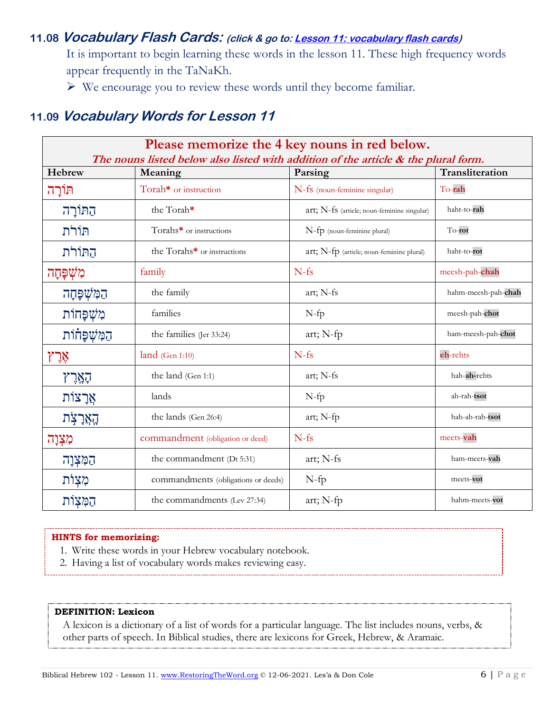### **11.08 Vocabulary Flash Cards: (click & go to[: Lesson 11: vocabulary flash cards\)](https://www.faithfulstewardship.org/wp-content/uploads/2021/12/Flash-Cards-for-Lesson-11-12-05-2021.pdf)**

It is important to begin learning these words in the lesson 11. These high frequency words appear frequently in the TaNaKh.

➢ We encourage you to review these words until they become familiar.

## **11.09 Vocabulary Words for Lesson 11**

| Please memorize the 4 key nouns in red below.<br>The nouns listed below also listed with addition of the article $\&$ the plural form. |                                       |                                             |                     |
|----------------------------------------------------------------------------------------------------------------------------------------|---------------------------------------|---------------------------------------------|---------------------|
| Hebrew                                                                                                                                 | Transliteration<br>Parsing<br>Meaning |                                             |                     |
| תּוֹרָה                                                                                                                                | Torah* or instruction                 | N-fs (noun-feminine singular)               | To-rah              |
| הַתּוֹרָה                                                                                                                              | the Torah*                            | art; N-fs (article; noun-feminine singular) | haht-to-rah         |
| תּוֹרֹת                                                                                                                                | Torahs* or instructions               | N-fp (noun-feminine plural)                 | To-rot              |
| התורת                                                                                                                                  | the Torahs* or instructions           | $art; N-fp$ (article; noun-feminine plural) | haht-to-rot         |
| מִשְׁפָּחָה                                                                                                                            | family                                | $N-fs$                                      | meesh-pah-chah      |
| הַמְּשְׁפָּחָה                                                                                                                         | the family                            | art; N-fs                                   | hahm-meesh-pah-chah |
| מִשְׁפָּחוֹת                                                                                                                           | families                              | $N$ -fp                                     | meesh-pah-chot      |
| הַמְּשְׁפָּחוֹת                                                                                                                        | the families (Jer 33:24)              | art; N-fp                                   | ham-meesh-pah-chot  |
| אָרֶ                                                                                                                                   | land (Gen 1:10)                       | $N-fs$                                      | eh-rehts            |
| הָאֲרָץ                                                                                                                                | the land (Gen 1:1)                    | art; N-fs                                   | hah-ah-rehts        |
| אֲרָצוֹת                                                                                                                               | lands                                 | $N-fp$                                      | ah-rah-tsot         |
| קאָרָצְת                                                                                                                               | the lands (Gen 26:4)                  | art; N-fp                                   | hah-ah-rah-tsot     |
| מִצְוָה                                                                                                                                | commandment (obligation or deed)      | $N-fs$                                      | meets-vah           |
| הַמְּצְוָה                                                                                                                             | the commandment (Dt 5:31)             | art; N-fs                                   | ham-meets-vah       |
| מִצְוֹת                                                                                                                                | commandments (obligations or deeds)   | $N$ -fp                                     | meets-vot           |
| הַמְּצִות                                                                                                                              | the commandments (Lev 27:34)          | art; N-fp                                   | hahm-meets-vot      |

#### **HINTS for memorizing:**

- 1. Write these words in your Hebrew vocabulary notebook.
- 2. Having a list of vocabulary words makes reviewing easy.

#### **DEFINITION: Lexicon**

A lexicon is a dictionary of a list of words for a particular language. The list includes nouns, verbs, & other parts of speech. In Biblical studies, there are lexicons for Greek, Hebrew, & Aramaic.